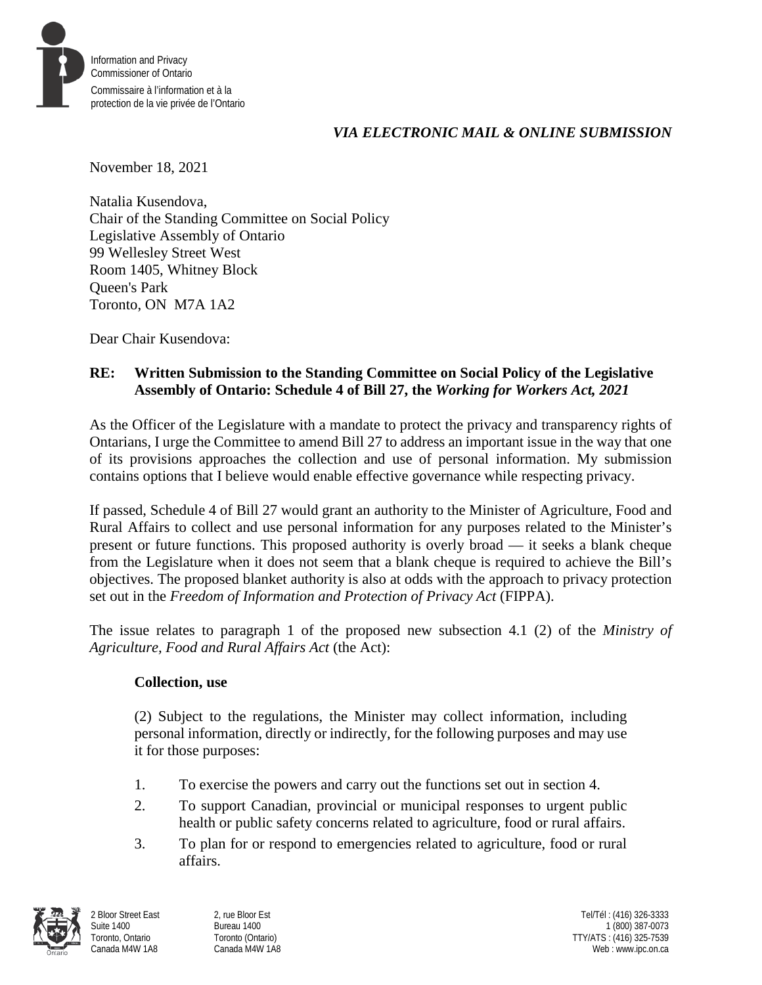

## *VIA ELECTRONIC MAIL & ONLINE SUBMISSION*

November 18, 2021

Natalia Kusendova, Chair of the Standing Committee on Social Policy Legislative Assembly of Ontario 99 Wellesley Street West Room 1405, Whitney Block Queen's Park Toronto, ON M7A 1A2

Dear Chair Kusendova:

## **RE: Written Submission to the Standing Committee on Social Policy of the Legislative Assembly of Ontario: Schedule 4 of Bill 27, the** *Working for Workers Act, 2021*

As the Officer of the Legislature with a mandate to protect the privacy and transparency rights of Ontarians, I urge the Committee to amend Bill 27 to address an important issue in the way that one of its provisions approaches the collection and use of personal information. My submission contains options that I believe would enable effective governance while respecting privacy.

If passed, Schedule 4 of Bill 27 would grant an authority to the Minister of Agriculture, Food and Rural Affairs to collect and use personal information for any purposes related to the Minister's present or future functions. This proposed authority is overly broad — it seeks a blank cheque from the Legislature when it does not seem that a blank cheque is required to achieve the Bill's objectives. The proposed blanket authority is also at odds with the approach to privacy protection set out in the *Freedom of Information and Protection of Privacy Act* (FIPPA).

The issue relates to paragraph 1 of the proposed new subsection 4.1 (2) of the *Ministry of Agriculture, Food and Rural Affairs Act* (the Act):

## **Collection, use**

(2) Subject to the regulations, the Minister may collect information, including personal information, directly or indirectly, for the following purposes and may use it for those purposes:

- 1. To exercise the powers and carry out the functions set out in section 4.
- 2. To support Canadian, provincial or municipal responses to urgent public health or public safety concerns related to agriculture, food or rural affairs.
- 3. To plan for or respond to emergencies related to agriculture, food or rural affairs.



2 Bloor Street East Suite 1400 Toronto, Ontario Canada M4W 1A8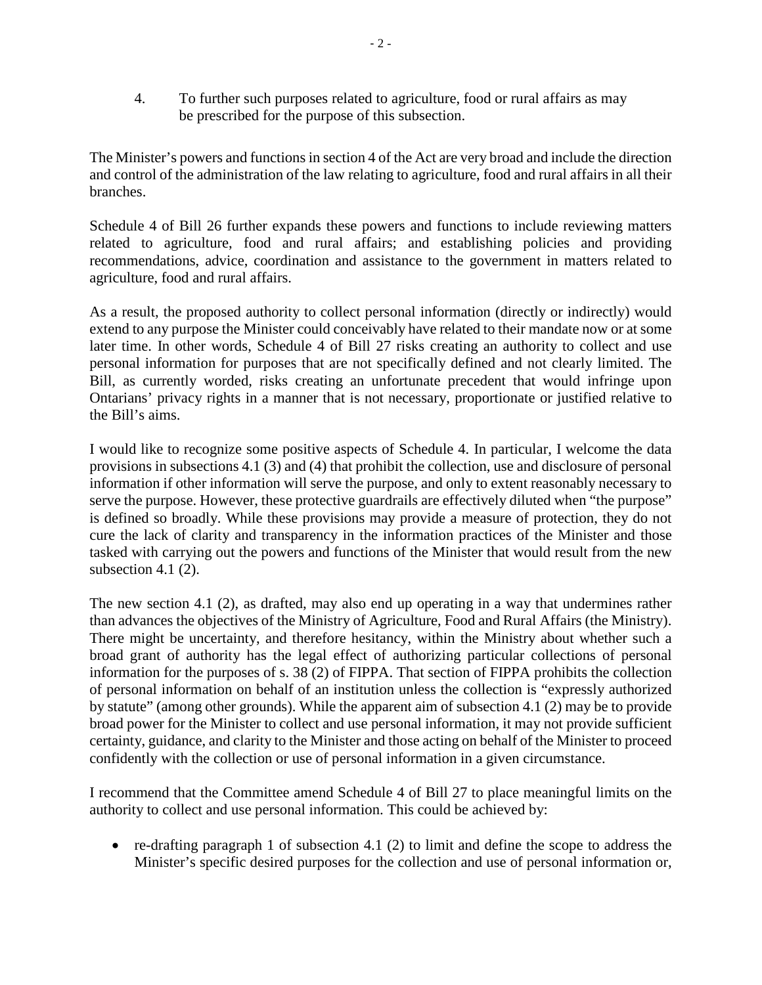4. To further such purposes related to agriculture, food or rural affairs as may be prescribed for the purpose of this subsection.

The Minister's powers and functions in section 4 of the Act are very broad and include the direction and control of the administration of the law relating to agriculture, food and rural affairs in all their branches.

Schedule 4 of Bill 26 further expands these powers and functions to include reviewing matters related to agriculture, food and rural affairs; and establishing policies and providing recommendations, advice, coordination and assistance to the government in matters related to agriculture, food and rural affairs.

As a result, the proposed authority to collect personal information (directly or indirectly) would extend to any purpose the Minister could conceivably have related to their mandate now or at some later time. In other words, Schedule 4 of Bill 27 risks creating an authority to collect and use personal information for purposes that are not specifically defined and not clearly limited. The Bill, as currently worded, risks creating an unfortunate precedent that would infringe upon Ontarians' privacy rights in a manner that is not necessary, proportionate or justified relative to the Bill's aims.

I would like to recognize some positive aspects of Schedule 4. In particular, I welcome the data provisions in subsections 4.1 (3) and (4) that prohibit the collection, use and disclosure of personal information if other information will serve the purpose, and only to extent reasonably necessary to serve the purpose. However, these protective guardrails are effectively diluted when "the purpose" is defined so broadly. While these provisions may provide a measure of protection, they do not cure the lack of clarity and transparency in the information practices of the Minister and those tasked with carrying out the powers and functions of the Minister that would result from the new subsection 4.1 (2).

The new section 4.1 (2), as drafted, may also end up operating in a way that undermines rather than advances the objectives of the Ministry of Agriculture, Food and Rural Affairs (the Ministry). There might be uncertainty, and therefore hesitancy, within the Ministry about whether such a broad grant of authority has the legal effect of authorizing particular collections of personal information for the purposes of s. 38 (2) of FIPPA. That section of FIPPA prohibits the collection of personal information on behalf of an institution unless the collection is "expressly authorized by statute" (among other grounds). While the apparent aim of subsection 4.1 (2) may be to provide broad power for the Minister to collect and use personal information, it may not provide sufficient certainty, guidance, and clarity to the Minister and those acting on behalf of the Minister to proceed confidently with the collection or use of personal information in a given circumstance.

I recommend that the Committee amend Schedule 4 of Bill 27 to place meaningful limits on the authority to collect and use personal information. This could be achieved by:

• re-drafting paragraph 1 of subsection 4.1 (2) to limit and define the scope to address the Minister's specific desired purposes for the collection and use of personal information or,